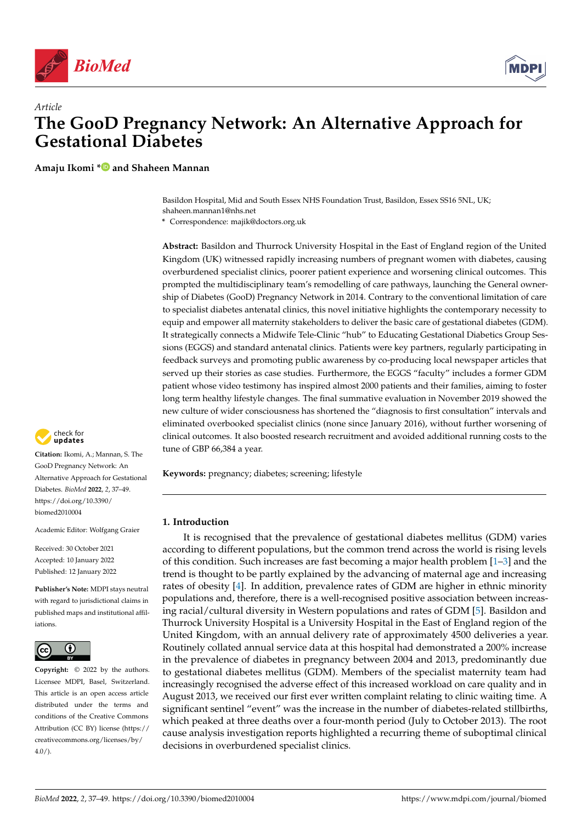



# *Article* **The GooD Pregnancy Network: An Alternative Approach for Gestational Diabetes**

**Amaju Ikomi [\\*](https://orcid.org/0000-0002-3487-3622) and Shaheen Mannan**

Basildon Hospital, Mid and South Essex NHS Foundation Trust, Basildon, Essex SS16 5NL, UK; shaheen.mannan1@nhs.net

**\*** Correspondence: majik@doctors.org.uk

**Abstract:** Basildon and Thurrock University Hospital in the East of England region of the United Kingdom (UK) witnessed rapidly increasing numbers of pregnant women with diabetes, causing overburdened specialist clinics, poorer patient experience and worsening clinical outcomes. This prompted the multidisciplinary team's remodelling of care pathways, launching the General ownership of Diabetes (GooD) Pregnancy Network in 2014. Contrary to the conventional limitation of care to specialist diabetes antenatal clinics, this novel initiative highlights the contemporary necessity to equip and empower all maternity stakeholders to deliver the basic care of gestational diabetes (GDM). It strategically connects a Midwife Tele-Clinic "hub" to Educating Gestational Diabetics Group Sessions (EGGS) and standard antenatal clinics. Patients were key partners, regularly participating in feedback surveys and promoting public awareness by co-producing local newspaper articles that served up their stories as case studies. Furthermore, the EGGS "faculty" includes a former GDM patient whose video testimony has inspired almost 2000 patients and their families, aiming to foster long term healthy lifestyle changes. The final summative evaluation in November 2019 showed the new culture of wider consciousness has shortened the "diagnosis to first consultation" intervals and eliminated overbooked specialist clinics (none since January 2016), without further worsening of clinical outcomes. It also boosted research recruitment and avoided additional running costs to the tune of GBP 66,384 a year.

**Keywords:** pregnancy; diabetes; screening; lifestyle

## **1. Introduction**

It is recognised that the prevalence of gestational diabetes mellitus (GDM) varies according to different populations, but the common trend across the world is rising levels of this condition. Such increases are fast becoming a major health problem  $[1-3]$  $[1-3]$  and the trend is thought to be partly explained by the advancing of maternal age and increasing rates of obesity [\[4\]](#page-11-2). In addition, prevalence rates of GDM are higher in ethnic minority populations and, therefore, there is a well-recognised positive association between increasing racial/cultural diversity in Western populations and rates of GDM [\[5\]](#page-11-3). Basildon and Thurrock University Hospital is a University Hospital in the East of England region of the United Kingdom, with an annual delivery rate of approximately 4500 deliveries a year. Routinely collated annual service data at this hospital had demonstrated a 200% increase in the prevalence of diabetes in pregnancy between 2004 and 2013, predominantly due to gestational diabetes mellitus (GDM). Members of the specialist maternity team had increasingly recognised the adverse effect of this increased workload on care quality and in August 2013, we received our first ever written complaint relating to clinic waiting time. A significant sentinel "event" was the increase in the number of diabetes-related stillbirths, which peaked at three deaths over a four-month period (July to October 2013). The root cause analysis investigation reports highlighted a recurring theme of suboptimal clinical decisions in overburdened specialist clinics.



**Citation:** Ikomi, A.; Mannan, S. The GooD Pregnancy Network: An Alternative Approach for Gestational Diabetes. *BioMed* **2022**, *2*, 37–49. [https://doi.org/10.3390/](https://doi.org/10.3390/biomed2010004) [biomed2010004](https://doi.org/10.3390/biomed2010004)

Academic Editor: Wolfgang Graier

Received: 30 October 2021 Accepted: 10 January 2022 Published: 12 January 2022

**Publisher's Note:** MDPI stays neutral with regard to jurisdictional claims in published maps and institutional affiliations.



**Copyright:** © 2022 by the authors. Licensee MDPI, Basel, Switzerland. This article is an open access article distributed under the terms and conditions of the Creative Commons Attribution (CC BY) license [\(https://](https://creativecommons.org/licenses/by/4.0/) [creativecommons.org/licenses/by/](https://creativecommons.org/licenses/by/4.0/)  $4.0/$ ).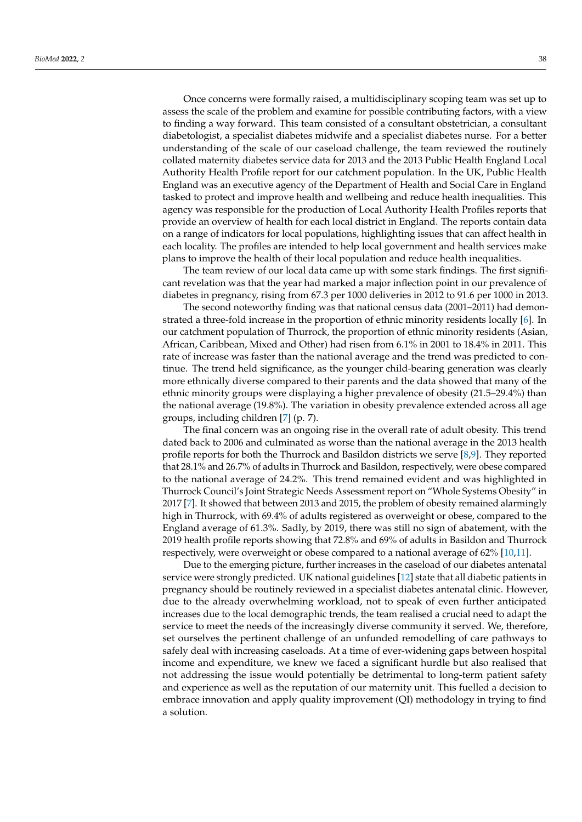Once concerns were formally raised, a multidisciplinary scoping team was set up to assess the scale of the problem and examine for possible contributing factors, with a view to finding a way forward. This team consisted of a consultant obstetrician, a consultant diabetologist, a specialist diabetes midwife and a specialist diabetes nurse. For a better understanding of the scale of our caseload challenge, the team reviewed the routinely collated maternity diabetes service data for 2013 and the 2013 Public Health England Local Authority Health Profile report for our catchment population. In the UK, Public Health England was an executive agency of the Department of Health and Social Care in England tasked to protect and improve health and wellbeing and reduce health inequalities. This agency was responsible for the production of Local Authority Health Profiles reports that provide an overview of health for each local district in England. The reports contain data on a range of indicators for local populations, highlighting issues that can affect health in each locality. The profiles are intended to help local government and health services make plans to improve the health of their local population and reduce health inequalities.

The team review of our local data came up with some stark findings. The first significant revelation was that the year had marked a major inflection point in our prevalence of diabetes in pregnancy, rising from 67.3 per 1000 deliveries in 2012 to 91.6 per 1000 in 2013.

The second noteworthy finding was that national census data (2001–2011) had demonstrated a three-fold increase in the proportion of ethnic minority residents locally [\[6\]](#page-11-4). In our catchment population of Thurrock, the proportion of ethnic minority residents (Asian, African, Caribbean, Mixed and Other) had risen from 6.1% in 2001 to 18.4% in 2011. This rate of increase was faster than the national average and the trend was predicted to continue. The trend held significance, as the younger child-bearing generation was clearly more ethnically diverse compared to their parents and the data showed that many of the ethnic minority groups were displaying a higher prevalence of obesity (21.5–29.4%) than the national average (19.8%). The variation in obesity prevalence extended across all age groups, including children [\[7\]](#page-11-5) (p. 7).

The final concern was an ongoing rise in the overall rate of adult obesity. This trend dated back to 2006 and culminated as worse than the national average in the 2013 health profile reports for both the Thurrock and Basildon districts we serve [\[8](#page-11-6)[,9\]](#page-11-7). They reported that 28.1% and 26.7% of adults in Thurrock and Basildon, respectively, were obese compared to the national average of 24.2%. This trend remained evident and was highlighted in Thurrock Council's Joint Strategic Needs Assessment report on "Whole Systems Obesity" in 2017 [\[7\]](#page-11-5). It showed that between 2013 and 2015, the problem of obesity remained alarmingly high in Thurrock, with 69.4% of adults registered as overweight or obese, compared to the England average of 61.3%. Sadly, by 2019, there was still no sign of abatement, with the 2019 health profile reports showing that 72.8% and 69% of adults in Basildon and Thurrock respectively, were overweight or obese compared to a national average of 62% [\[10,](#page-11-8)[11\]](#page-11-9).

Due to the emerging picture, further increases in the caseload of our diabetes antenatal service were strongly predicted. UK national guidelines [\[12\]](#page-11-10) state that all diabetic patients in pregnancy should be routinely reviewed in a specialist diabetes antenatal clinic. However, due to the already overwhelming workload, not to speak of even further anticipated increases due to the local demographic trends, the team realised a crucial need to adapt the service to meet the needs of the increasingly diverse community it served. We, therefore, set ourselves the pertinent challenge of an unfunded remodelling of care pathways to safely deal with increasing caseloads. At a time of ever-widening gaps between hospital income and expenditure, we knew we faced a significant hurdle but also realised that not addressing the issue would potentially be detrimental to long-term patient safety and experience as well as the reputation of our maternity unit. This fuelled a decision to embrace innovation and apply quality improvement (QI) methodology in trying to find a solution.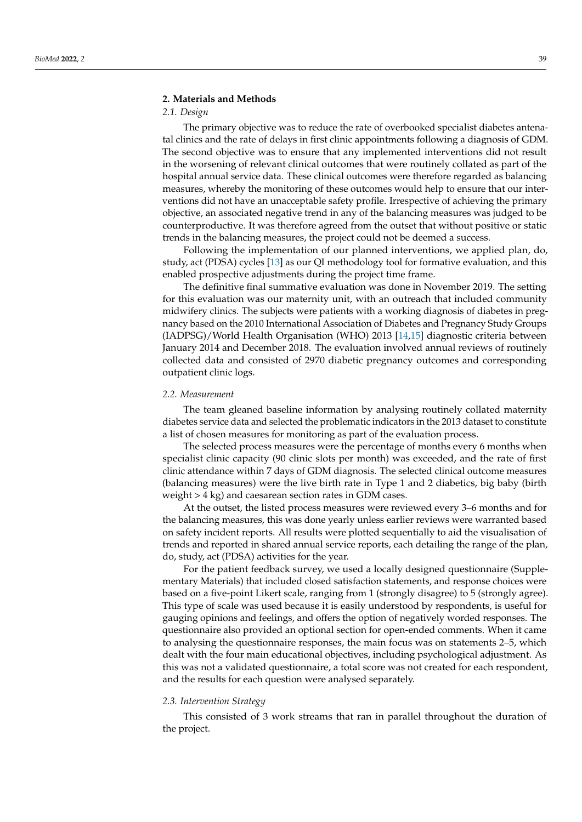### **2. Materials and Methods**

## *2.1. Design*

The primary objective was to reduce the rate of overbooked specialist diabetes antenatal clinics and the rate of delays in first clinic appointments following a diagnosis of GDM. The second objective was to ensure that any implemented interventions did not result in the worsening of relevant clinical outcomes that were routinely collated as part of the hospital annual service data. These clinical outcomes were therefore regarded as balancing measures, whereby the monitoring of these outcomes would help to ensure that our interventions did not have an unacceptable safety profile. Irrespective of achieving the primary objective, an associated negative trend in any of the balancing measures was judged to be counterproductive. It was therefore agreed from the outset that without positive or static trends in the balancing measures, the project could not be deemed a success.

Following the implementation of our planned interventions, we applied plan, do, study, act (PDSA) cycles [\[13\]](#page-11-11) as our QI methodology tool for formative evaluation, and this enabled prospective adjustments during the project time frame.

The definitive final summative evaluation was done in November 2019. The setting for this evaluation was our maternity unit, with an outreach that included community midwifery clinics. The subjects were patients with a working diagnosis of diabetes in pregnancy based on the 2010 International Association of Diabetes and Pregnancy Study Groups (IADPSG)/World Health Organisation (WHO) 2013 [\[14,](#page-11-12)[15\]](#page-11-13) diagnostic criteria between January 2014 and December 2018. The evaluation involved annual reviews of routinely collected data and consisted of 2970 diabetic pregnancy outcomes and corresponding outpatient clinic logs.

#### *2.2. Measurement*

The team gleaned baseline information by analysing routinely collated maternity diabetes service data and selected the problematic indicators in the 2013 dataset to constitute a list of chosen measures for monitoring as part of the evaluation process.

The selected process measures were the percentage of months every 6 months when specialist clinic capacity (90 clinic slots per month) was exceeded, and the rate of first clinic attendance within 7 days of GDM diagnosis. The selected clinical outcome measures (balancing measures) were the live birth rate in Type 1 and 2 diabetics, big baby (birth weight > 4 kg) and caesarean section rates in GDM cases.

At the outset, the listed process measures were reviewed every 3–6 months and for the balancing measures, this was done yearly unless earlier reviews were warranted based on safety incident reports. All results were plotted sequentially to aid the visualisation of trends and reported in shared annual service reports, each detailing the range of the plan, do, study, act (PDSA) activities for the year.

For the patient feedback survey, we used a locally designed questionnaire (Supplementary Materials) that included closed satisfaction statements, and response choices were based on a five-point Likert scale, ranging from 1 (strongly disagree) to 5 (strongly agree). This type of scale was used because it is easily understood by respondents, is useful for gauging opinions and feelings, and offers the option of negatively worded responses. The questionnaire also provided an optional section for open-ended comments. When it came to analysing the questionnaire responses, the main focus was on statements 2–5, which dealt with the four main educational objectives, including psychological adjustment. As this was not a validated questionnaire, a total score was not created for each respondent, and the results for each question were analysed separately.

### *2.3. Intervention Strategy*

This consisted of 3 work streams that ran in parallel throughout the duration of the project.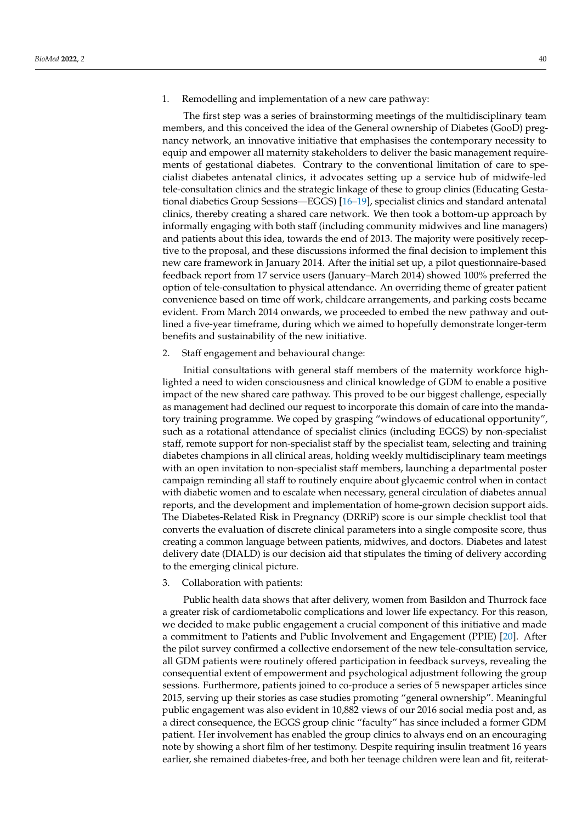1. Remodelling and implementation of a new care pathway:

The first step was a series of brainstorming meetings of the multidisciplinary team members, and this conceived the idea of the General ownership of Diabetes (GooD) pregnancy network, an innovative initiative that emphasises the contemporary necessity to equip and empower all maternity stakeholders to deliver the basic management requirements of gestational diabetes. Contrary to the conventional limitation of care to specialist diabetes antenatal clinics, it advocates setting up a service hub of midwife-led tele-consultation clinics and the strategic linkage of these to group clinics (Educating Gestational diabetics Group Sessions—EGGS) [\[16](#page-11-14)[–19\]](#page-11-15), specialist clinics and standard antenatal clinics, thereby creating a shared care network. We then took a bottom-up approach by informally engaging with both staff (including community midwives and line managers) and patients about this idea, towards the end of 2013. The majority were positively receptive to the proposal, and these discussions informed the final decision to implement this new care framework in January 2014. After the initial set up, a pilot questionnaire-based feedback report from 17 service users (January–March 2014) showed 100% preferred the option of tele-consultation to physical attendance. An overriding theme of greater patient convenience based on time off work, childcare arrangements, and parking costs became evident. From March 2014 onwards, we proceeded to embed the new pathway and outlined a five-year timeframe, during which we aimed to hopefully demonstrate longer-term benefits and sustainability of the new initiative.

### 2. Staff engagement and behavioural change:

Initial consultations with general staff members of the maternity workforce highlighted a need to widen consciousness and clinical knowledge of GDM to enable a positive impact of the new shared care pathway. This proved to be our biggest challenge, especially as management had declined our request to incorporate this domain of care into the mandatory training programme. We coped by grasping "windows of educational opportunity", such as a rotational attendance of specialist clinics (including EGGS) by non-specialist staff, remote support for non-specialist staff by the specialist team, selecting and training diabetes champions in all clinical areas, holding weekly multidisciplinary team meetings with an open invitation to non-specialist staff members, launching a departmental poster campaign reminding all staff to routinely enquire about glycaemic control when in contact with diabetic women and to escalate when necessary, general circulation of diabetes annual reports, and the development and implementation of home-grown decision support aids. The Diabetes-Related Risk in Pregnancy (DRRiP) score is our simple checklist tool that converts the evaluation of discrete clinical parameters into a single composite score, thus creating a common language between patients, midwives, and doctors. Diabetes and latest delivery date (DIALD) is our decision aid that stipulates the timing of delivery according to the emerging clinical picture.

### 3. Collaboration with patients:

Public health data shows that after delivery, women from Basildon and Thurrock face a greater risk of cardiometabolic complications and lower life expectancy. For this reason, we decided to make public engagement a crucial component of this initiative and made a commitment to Patients and Public Involvement and Engagement (PPIE) [\[20\]](#page-11-16). After the pilot survey confirmed a collective endorsement of the new tele-consultation service, all GDM patients were routinely offered participation in feedback surveys, revealing the consequential extent of empowerment and psychological adjustment following the group sessions. Furthermore, patients joined to co-produce a series of 5 newspaper articles since 2015, serving up their stories as case studies promoting "general ownership". Meaningful public engagement was also evident in 10,882 views of our 2016 social media post and, as a direct consequence, the EGGS group clinic "faculty" has since included a former GDM patient. Her involvement has enabled the group clinics to always end on an encouraging note by showing a short film of her testimony. Despite requiring insulin treatment 16 years earlier, she remained diabetes-free, and both her teenage children were lean and fit, reiterat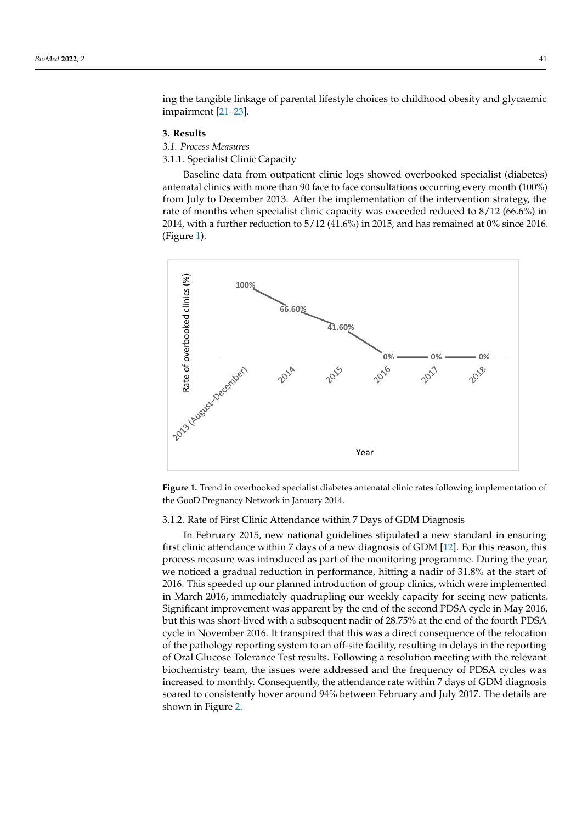ing the tangible linkage of parental lifestyle choices to childhood obesity and glycaemic impairment [\[21](#page-11-17)[–23\]](#page-11-18).

encouraging note by showing a short film of her testimony. Despite requiring insulin

## **3. Results 3. Results**

*3.1. Process Measures 3.1. Process Measures*

3.1.1. Specialist Clinic Capacity 3.1.1. Specialist Clinic Capacity

Baseline data from outpatient clinic logs showed overbooked specialist (diabetes) Baseline data from outpatient clinic logs showed overbooked specialist (diabetes) anantenatal clinics with more than 90 face to face consultations occurring every month (100%) from July to December 2013. After the implementation of the intervention strategy, the From July to Becember 2013. Their the implementation of the intervention strategy, the rate of months when specialist clinic capacity was exceeded reduced to 8/12 (66.6%) in 2014, with a further reduction to 5/12 (41.6%) in 2015, and has remained at 0% since 2016. 2014, with a further reduction to 5/12 (41.6%) in 2015, and has remained at 0% since 2016. (Figure [1\)](#page-4-0). (Figure 1). rate of months when specialist clinic capacity was exceeded reduced to  $\theta$ /2 ( $\sin 2012$ ) in  $2012$ 

<span id="page-4-0"></span>

**Figure 1.** Trend in overbooked specialist diabetes antenatal clinic rates following implementation of **Figure 1.** Trend in overbooked specialist diabetes antenatal clinic rates following implementation of the GooD Pregnancy Network in January 2014. the GooD Pregnancy Network in January 2014.

# 3.1.2. Rate of First Clinic Attendance within 7 Days of GDM Diagnosis 3.1.2. Rate of First Clinic Attendance within 7 Days of GDM Diagnosis

In February 2015, new national guidelines stipulated a new standard in ensuring first clinic attendance within 7 days of a new diagnosis of GDM [12][. Fo](#page-11-10)r this reason, this process measure was introduced as part of the monitoring programme. During the year, we noticed a gradual reduction in performance, hitting a nadir of 31.8% at the start of 2016. This speeded up our planned introduction of group clinics, which were implemented in March 2016, immediately quadrupling our weekly capacity for seeing new patients. Significant improvement was apparent by the end of the second PDSA cycle in May 2016, but this was short-lived with a subsequent nadir of 28.75% at the end of the fourth PDSA cycle in November 2016. It transpired that this was a direct consequence of the relocation of the pathology reporting system to an off-site facility, resulting in delays in the reporting of Oral Glucose Tolerance Test results. Following a resolution meeting with the relevant biochemistry team, the issues were addressed and the frequency of PDSA cycles was creased to monthly. Consequently, the attendance rate within 7 days of GDM diagnosis increased to monthly. Consequently, the attendance rate within 7 days of GDM diagnosis soared to consistently hover around 94% between February and July 2017. The details are soared to consistently hover around 94% between February and July 2017. The details are shown in Figur[e 2](#page-5-0). shown in Figure 2.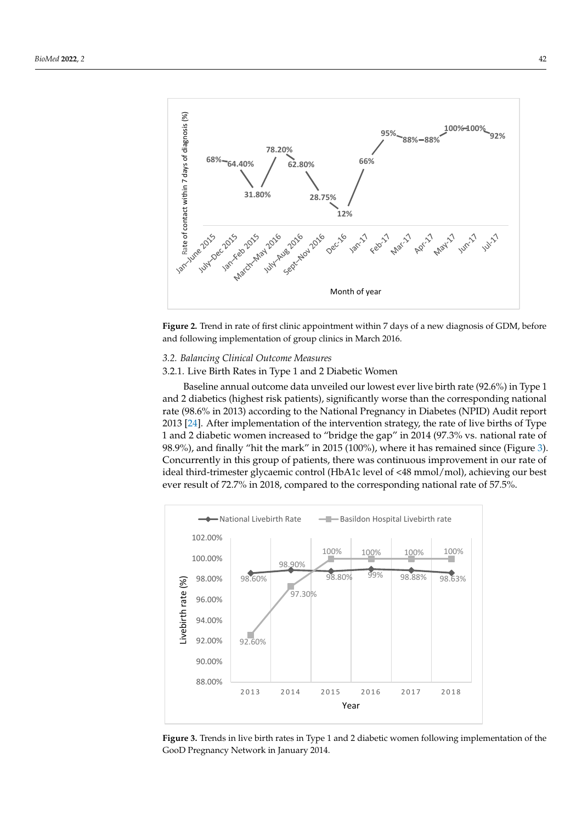<span id="page-5-0"></span>

**Figure 2.** Trend in rate of first clinic appointment within 7 days of a new diagnosis of GDM, before **Figure 2.** Trend in rate of first clinic appointment within 7 days of a new diagnosis of GDM, before and following implementation of group clinics in March 2016. and following implementation of group clinics in March 2016.

# *3.2. Balancing Clinical Outcome Measures 3.2. Balancing Clinical Outcome Measures*

# 3.2.1. Live Birth Rates in Type 1 and 2 Diabetic Women 3.2.1. Live Birth Rates in Type 1 and 2 Diabetic Women

Baseline annual outcome data unveiled our lowest ever live birth rate (92.6%) in Type 1 Baseline annual outcome data unveiled our lowest ever live birth rate (92.6%) in Type and 2 diabetics (highest risk patients), significantly worse than the corresponding national 1 and 2 diabetics (highest risk patients), significantly worse than the corresponding national rate (98.6% in 2013) according to the National Pregnancy in Diabetes (NPID) Audit report rate (98.6% in 2013) according to the National Pregnancy in Diabetes (NPID) Audit report 2013 [\[24\]](#page-12-0). After implementation of the intervention strategy, the rate of live births of Type 2013 [24]. After implementation of the intervention strategy, the rate of live births of Type 1 1 and 2 diabetic women increased to "bridge the gap" in 2014 (97.3% vs. national rate of and 2 diabetic women increased to "bridge the gap" in 2014 (97.3% vs. national rate of 98.9%), and finally "hit the mark" in 2015 (100%), where it has remained since (Figure 3). 98.9%), and finally "hit the mark" in 2015 (100%), where it has remained since. (Figure [3\)](#page-5-1). Concurrently in this group of patients, there was continuous improvement in our rate of Concurrently in this group of patients, there was continuous improvement in our rate of ideal third-trimester glycaemic control (HbA1c level of <48 mmol/mol), achieving our best ideal third-trimester glycaemic control (HbA1c level of < 48 mmol/mol), achieving our best ever result of 72.7% in 2018, compared to the corresponding national rate of 57.5%. ever result of 72.7% in 2018, compared to the corresponding national rate of 57.5%.

<span id="page-5-1"></span>

**Figure 3.** Trends in live birth rates in Type 1 and 2 diabetic women following implementation of the **Figure 3.** Trends in live birth rates in Type 1 and 2 diabetic women following implementation of the GooD Pregnancy Network in January 2014. GooD Pregnancy Network in January 2014.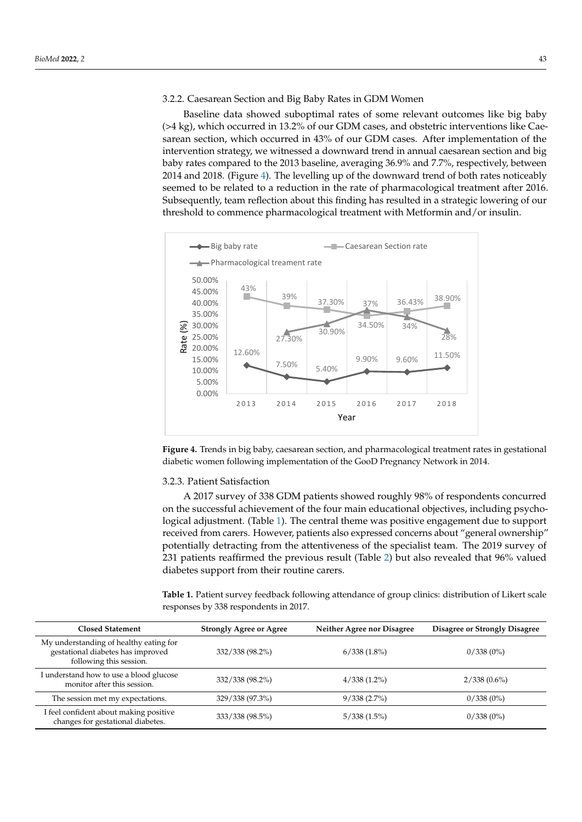3.2.2. Caesarean Section and Big Baby Rates in GDM Women 3.2.2. Caesarean Section and Big Baby Rates in GDM Women

Baseline data showed suboptimal rates of some relevant outcomes like big baby  $($ >4 kg), which occurred in 13.2% of our GDM cases, and obstetric interventions like Caesarean section, which occurred in 43% of our GDM cases. After implementation of the intervention strategy, we witnessed a downward trend in annual caesarean section and big baby rates compared to the 2013 baseline, averaging 36.9% and 7.7%, respectively, between 2014 and 2018. (Figure 4). The levelling up of the downward trend of both rates noticeably 2014 and 2018. (Figur[e 4](#page-6-0)). The levelling up of the downward trend of both rates noticeably seemed to be related to a reduction in the rate of pharmacological treatment after 2016. seemed to be related to a reduction in the rate of pharmacological treatment after 2016. Subsequently, team reflection about this finding has resulted in a strategic lowering of our Subsequently, team reflection about this finding has resulted in a strategic lowering of our threshold to commence pharmacological treatment with Metformin and/or insulin. threshold to commence pharmacological treatment with Metformin and/or insulin.

<span id="page-6-0"></span>

**Figure 4.** Trends in big baby, caesarean section, and pharmacological treatment rates in gestational **Figure 4.** Trends in big baby, caesarean section, and pharmacological treatment rates in gestational diabetic women following implementation of the GooD Pregnancy Network in 2014. diabetic women following implementation of the GooD Pregnancy Network in 2014.

# 3.2.3. Patient Satisfaction 3.2.3. Patient Satisfaction

A 2017 survey of 338 GDM patients showed roughly 98% of respondents concurred A 2017 survey of 338 GDM patients showed roughly 98% of respondents concurred on the successful achievement of the four main educational objectives, including psycho-on the successful achievement of the four main educational objectives, including psychological adjustment. (Tabl[e 1](#page-6-1)). The central theme was positive engagement due to support logical adjustment. (Table 1). The central theme was positive engagement due to support received from carers. However, patients also expressed concerns about "general ownership" potentially detracting from the attentiveness of the specialist team. The 2019 survey of of 231 patients reaffirmed the previous result (Table 2) but also revealed that 96% valued 231 patients reaffirmed the previous result (Table [2\)](#page-7-0) but also revealed that 96% valued diabetes support from their routine carers. diabetes support from their routine carers.

<span id="page-6-1"></span>**Table 1.** Patient survey feedback following attendance of group clinics: distribution of Likert scale **Table 1.** Patient survey feedback following attendance of group clinics: distribution of Likert scale responses by 338 respondents in 2017. responses by 338 respondents in 2017.

| <b>Closed Statement</b>                                                                                | <b>Strongly Agree or Agree</b> | Neither Agree nor Disagree | Disagree or Strongly Disagree |
|--------------------------------------------------------------------------------------------------------|--------------------------------|----------------------------|-------------------------------|
| My understanding of healthy eating for<br>gestational diabetes has improved<br>following this session. | 332/338 (98.2%)                | $6/338(1.8\%)$             | $0/338(0\%)$                  |
| I understand how to use a blood glucose<br>monitor after this session.                                 | 332/338 (98.2%)                | $4/338(1.2\%)$             | $2/338(0.6\%)$                |
| The session met my expectations.                                                                       | 329/338 (97.3%)                | $9/338(2.7\%)$             | $0/338(0\%)$                  |
| I feel confident about making positive<br>changes for gestational diabetes.                            | 333/338 (98.5%)                | $5/338(1.5\%)$             | $0/338(0\%)$                  |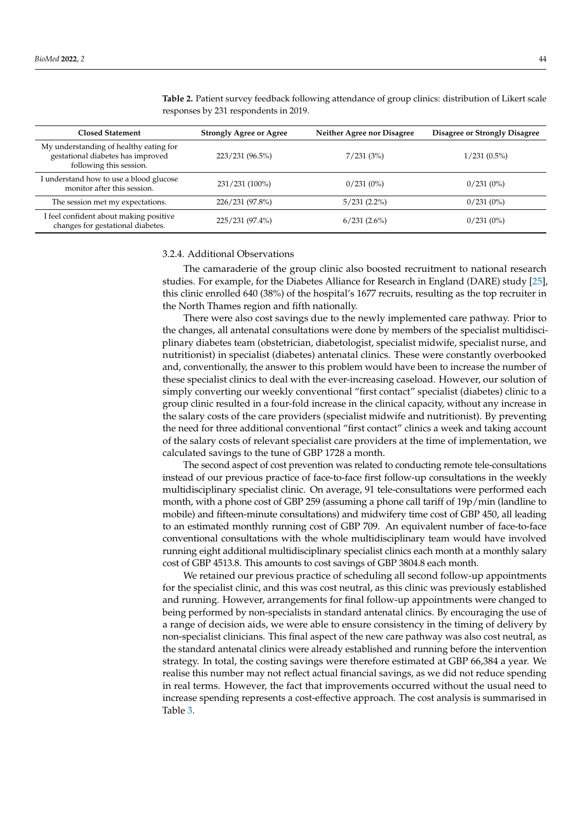| <b>Closed Statement</b>                                                                                | <b>Strongly Agree or Agree</b> | Neither Agree nor Disagree | <b>Disagree or Strongly Disagree</b> |
|--------------------------------------------------------------------------------------------------------|--------------------------------|----------------------------|--------------------------------------|
| My understanding of healthy eating for<br>gestational diabetes has improved<br>following this session. | 223/231 (96.5%)                | 7/231(3%)                  | $1/231(0.5\%)$                       |
| I understand how to use a blood glucose<br>monitor after this session.                                 | 231/231 (100%)                 | $0/231(0\%)$               | $0/231(0\%)$                         |
| The session met my expectations.                                                                       | 226/231 (97.8%)                | $5/231(2.2\%)$             | $0/231(0\%)$                         |
| I feel confident about making positive<br>changes for gestational diabetes.                            | 225/231 (97.4%)                | 6/231(2.6%)                | $0/231(0\%)$                         |

<span id="page-7-0"></span>**Table 2.** Patient survey feedback following attendance of group clinics: distribution of Likert scale responses by 231 respondents in 2019.

### 3.2.4. Additional Observations

The camaraderie of the group clinic also boosted recruitment to national research studies. For example, for the Diabetes Alliance for Research in England (DARE) study [\[25\]](#page-12-1), this clinic enrolled 640 (38%) of the hospital's 1677 recruits, resulting as the top recruiter in the North Thames region and fifth nationally.

There were also cost savings due to the newly implemented care pathway. Prior to the changes, all antenatal consultations were done by members of the specialist multidisciplinary diabetes team (obstetrician, diabetologist, specialist midwife, specialist nurse, and nutritionist) in specialist (diabetes) antenatal clinics. These were constantly overbooked and, conventionally, the answer to this problem would have been to increase the number of these specialist clinics to deal with the ever-increasing caseload. However, our solution of simply converting our weekly conventional "first contact" specialist (diabetes) clinic to a group clinic resulted in a four-fold increase in the clinical capacity, without any increase in the salary costs of the care providers (specialist midwife and nutritionist). By preventing the need for three additional conventional "first contact" clinics a week and taking account of the salary costs of relevant specialist care providers at the time of implementation, we calculated savings to the tune of GBP 1728 a month.

The second aspect of cost prevention was related to conducting remote tele-consultations instead of our previous practice of face-to-face first follow-up consultations in the weekly multidisciplinary specialist clinic. On average, 91 tele-consultations were performed each month, with a phone cost of GBP 259 (assuming a phone call tariff of 19p/min (landline to mobile) and fifteen-minute consultations) and midwifery time cost of GBP 450, all leading to an estimated monthly running cost of GBP 709. An equivalent number of face-to-face conventional consultations with the whole multidisciplinary team would have involved running eight additional multidisciplinary specialist clinics each month at a monthly salary cost of GBP 4513.8. This amounts to cost savings of GBP 3804.8 each month.

We retained our previous practice of scheduling all second follow-up appointments for the specialist clinic, and this was cost neutral, as this clinic was previously established and running. However, arrangements for final follow-up appointments were changed to being performed by non-specialists in standard antenatal clinics. By encouraging the use of a range of decision aids, we were able to ensure consistency in the timing of delivery by non-specialist clinicians. This final aspect of the new care pathway was also cost neutral, as the standard antenatal clinics were already established and running before the intervention strategy. In total, the costing savings were therefore estimated at GBP 66,384 a year. We realise this number may not reflect actual financial savings, as we did not reduce spending in real terms. However, the fact that improvements occurred without the usual need to increase spending represents a cost-effective approach. The cost analysis is summarised in Table [3.](#page-8-0)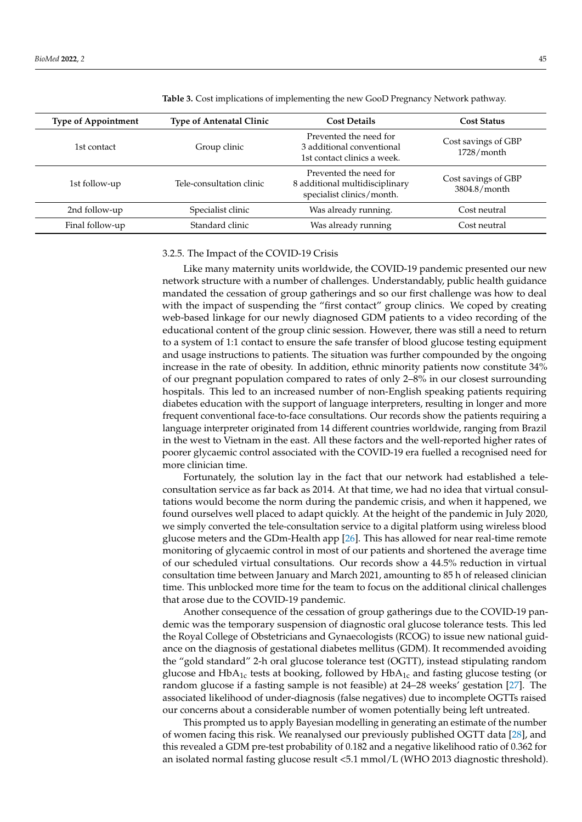| <b>Type of Appointment</b> | <b>Type of Antenatal Clinic</b> | <b>Cost Details</b>                                                                   | <b>Cost Status</b>                  |
|----------------------------|---------------------------------|---------------------------------------------------------------------------------------|-------------------------------------|
| 1st contact                | Group clinic                    | Prevented the need for<br>3 additional conventional<br>1st contact clinics a week.    | Cost savings of GBP<br>1728/month   |
| 1st follow-up              | Tele-consultation clinic        | Prevented the need for<br>8 additional multidisciplinary<br>specialist clinics/month. | Cost savings of GBP<br>3804.8/month |
| 2nd follow-up              | Specialist clinic               | Was already running.                                                                  | Cost neutral                        |
| Final follow-up            | Standard clinic                 | Was already running                                                                   | Cost neutral                        |

<span id="page-8-0"></span>**Table 3.** Cost implications of implementing the new GooD Pregnancy Network pathway.

#### 3.2.5. The Impact of the COVID-19 Crisis

Like many maternity units worldwide, the COVID-19 pandemic presented our new network structure with a number of challenges. Understandably, public health guidance mandated the cessation of group gatherings and so our first challenge was how to deal with the impact of suspending the "first contact" group clinics. We coped by creating web-based linkage for our newly diagnosed GDM patients to a video recording of the educational content of the group clinic session. However, there was still a need to return to a system of 1:1 contact to ensure the safe transfer of blood glucose testing equipment and usage instructions to patients. The situation was further compounded by the ongoing increase in the rate of obesity. In addition, ethnic minority patients now constitute 34% of our pregnant population compared to rates of only 2–8% in our closest surrounding hospitals. This led to an increased number of non-English speaking patients requiring diabetes education with the support of language interpreters, resulting in longer and more frequent conventional face-to-face consultations. Our records show the patients requiring a language interpreter originated from 14 different countries worldwide, ranging from Brazil in the west to Vietnam in the east. All these factors and the well-reported higher rates of poorer glycaemic control associated with the COVID-19 era fuelled a recognised need for more clinician time.

Fortunately, the solution lay in the fact that our network had established a teleconsultation service as far back as 2014. At that time, we had no idea that virtual consultations would become the norm during the pandemic crisis, and when it happened, we found ourselves well placed to adapt quickly. At the height of the pandemic in July 2020, we simply converted the tele-consultation service to a digital platform using wireless blood glucose meters and the GDm-Health app [\[26\]](#page-12-2). This has allowed for near real-time remote monitoring of glycaemic control in most of our patients and shortened the average time of our scheduled virtual consultations. Our records show a 44.5% reduction in virtual consultation time between January and March 2021, amounting to 85 h of released clinician time. This unblocked more time for the team to focus on the additional clinical challenges that arose due to the COVID-19 pandemic.

Another consequence of the cessation of group gatherings due to the COVID-19 pandemic was the temporary suspension of diagnostic oral glucose tolerance tests. This led the Royal College of Obstetricians and Gynaecologists (RCOG) to issue new national guidance on the diagnosis of gestational diabetes mellitus (GDM). It recommended avoiding the "gold standard" 2-h oral glucose tolerance test (OGTT), instead stipulating random glucose and  $HbA<sub>1c</sub>$  tests at booking, followed by  $HbA<sub>1c</sub>$  and fasting glucose testing (or random glucose if a fasting sample is not feasible) at 24–28 weeks' gestation [\[27\]](#page-12-3). The associated likelihood of under-diagnosis (false negatives) due to incomplete OGTTs raised our concerns about a considerable number of women potentially being left untreated.

This prompted us to apply Bayesian modelling in generating an estimate of the number of women facing this risk. We reanalysed our previously published OGTT data [\[28\]](#page-12-4), and this revealed a GDM pre-test probability of 0.182 and a negative likelihood ratio of 0.362 for an isolated normal fasting glucose result <5.1 mmol/L (WHO 2013 diagnostic threshold).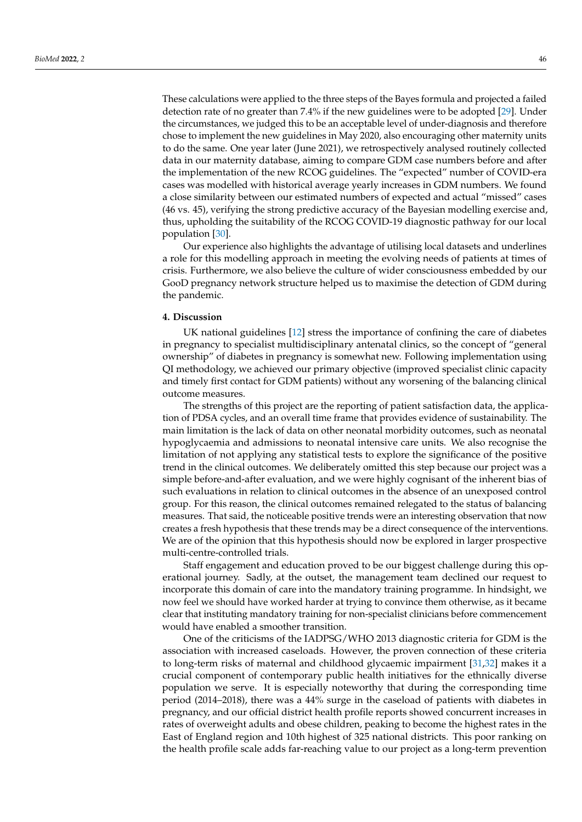These calculations were applied to the three steps of the Bayes formula and projected a failed detection rate of no greater than 7.4% if the new guidelines were to be adopted [\[29\]](#page-12-5). Under the circumstances, we judged this to be an acceptable level of under-diagnosis and therefore chose to implement the new guidelines in May 2020, also encouraging other maternity units to do the same. One year later (June 2021), we retrospectively analysed routinely collected data in our maternity database, aiming to compare GDM case numbers before and after the implementation of the new RCOG guidelines. The "expected" number of COVID-era cases was modelled with historical average yearly increases in GDM numbers. We found a close similarity between our estimated numbers of expected and actual "missed" cases (46 vs. 45), verifying the strong predictive accuracy of the Bayesian modelling exercise and, thus, upholding the suitability of the RCOG COVID-19 diagnostic pathway for our local population [\[30\]](#page-12-6).

Our experience also highlights the advantage of utilising local datasets and underlines a role for this modelling approach in meeting the evolving needs of patients at times of crisis. Furthermore, we also believe the culture of wider consciousness embedded by our GooD pregnancy network structure helped us to maximise the detection of GDM during the pandemic.

### **4. Discussion**

UK national guidelines [\[12\]](#page-11-10) stress the importance of confining the care of diabetes in pregnancy to specialist multidisciplinary antenatal clinics, so the concept of "general ownership" of diabetes in pregnancy is somewhat new. Following implementation using QI methodology, we achieved our primary objective (improved specialist clinic capacity and timely first contact for GDM patients) without any worsening of the balancing clinical outcome measures.

The strengths of this project are the reporting of patient satisfaction data, the application of PDSA cycles, and an overall time frame that provides evidence of sustainability. The main limitation is the lack of data on other neonatal morbidity outcomes, such as neonatal hypoglycaemia and admissions to neonatal intensive care units. We also recognise the limitation of not applying any statistical tests to explore the significance of the positive trend in the clinical outcomes. We deliberately omitted this step because our project was a simple before-and-after evaluation, and we were highly cognisant of the inherent bias of such evaluations in relation to clinical outcomes in the absence of an unexposed control group. For this reason, the clinical outcomes remained relegated to the status of balancing measures. That said, the noticeable positive trends were an interesting observation that now creates a fresh hypothesis that these trends may be a direct consequence of the interventions. We are of the opinion that this hypothesis should now be explored in larger prospective multi-centre-controlled trials.

Staff engagement and education proved to be our biggest challenge during this operational journey. Sadly, at the outset, the management team declined our request to incorporate this domain of care into the mandatory training programme. In hindsight, we now feel we should have worked harder at trying to convince them otherwise, as it became clear that instituting mandatory training for non-specialist clinicians before commencement would have enabled a smoother transition.

One of the criticisms of the IADPSG/WHO 2013 diagnostic criteria for GDM is the association with increased caseloads. However, the proven connection of these criteria to long-term risks of maternal and childhood glycaemic impairment [\[31,](#page-12-7)[32\]](#page-12-8) makes it a crucial component of contemporary public health initiatives for the ethnically diverse population we serve. It is especially noteworthy that during the corresponding time period (2014–2018), there was a 44% surge in the caseload of patients with diabetes in pregnancy, and our official district health profile reports showed concurrent increases in rates of overweight adults and obese children, peaking to become the highest rates in the East of England region and 10th highest of 325 national districts. This poor ranking on the health profile scale adds far-reaching value to our project as a long-term prevention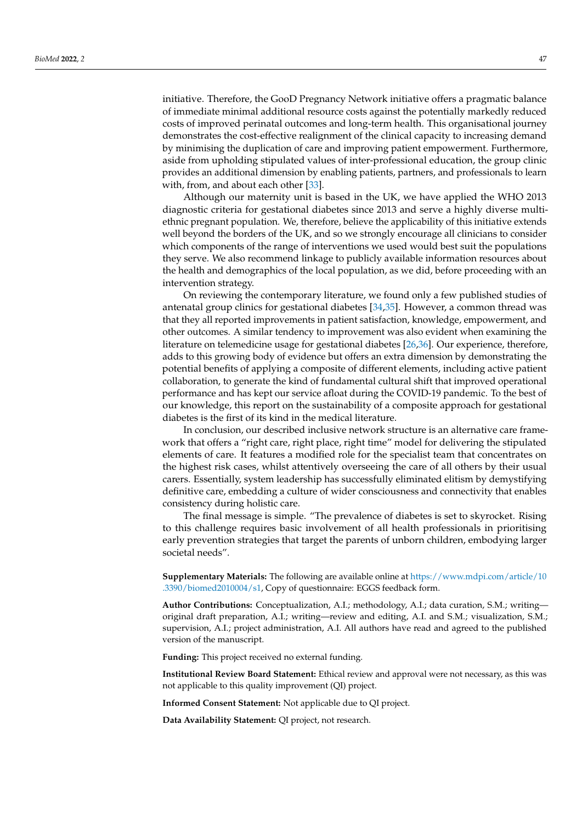initiative. Therefore, the GooD Pregnancy Network initiative offers a pragmatic balance of immediate minimal additional resource costs against the potentially markedly reduced costs of improved perinatal outcomes and long-term health. This organisational journey demonstrates the cost-effective realignment of the clinical capacity to increasing demand by minimising the duplication of care and improving patient empowerment. Furthermore, aside from upholding stipulated values of inter-professional education, the group clinic provides an additional dimension by enabling patients, partners, and professionals to learn with, from, and about each other [\[33\]](#page-12-9).

Although our maternity unit is based in the UK, we have applied the WHO 2013 diagnostic criteria for gestational diabetes since 2013 and serve a highly diverse multiethnic pregnant population. We, therefore, believe the applicability of this initiative extends well beyond the borders of the UK, and so we strongly encourage all clinicians to consider which components of the range of interventions we used would best suit the populations they serve. We also recommend linkage to publicly available information resources about the health and demographics of the local population, as we did, before proceeding with an intervention strategy.

On reviewing the contemporary literature, we found only a few published studies of antenatal group clinics for gestational diabetes [\[34](#page-12-10)[,35\]](#page-12-11). However, a common thread was that they all reported improvements in patient satisfaction, knowledge, empowerment, and other outcomes. A similar tendency to improvement was also evident when examining the literature on telemedicine usage for gestational diabetes [\[26,](#page-12-2)[36\]](#page-12-12). Our experience, therefore, adds to this growing body of evidence but offers an extra dimension by demonstrating the potential benefits of applying a composite of different elements, including active patient collaboration, to generate the kind of fundamental cultural shift that improved operational performance and has kept our service afloat during the COVID-19 pandemic. To the best of our knowledge, this report on the sustainability of a composite approach for gestational diabetes is the first of its kind in the medical literature.

In conclusion, our described inclusive network structure is an alternative care framework that offers a "right care, right place, right time" model for delivering the stipulated elements of care. It features a modified role for the specialist team that concentrates on the highest risk cases, whilst attentively overseeing the care of all others by their usual carers. Essentially, system leadership has successfully eliminated elitism by demystifying definitive care, embedding a culture of wider consciousness and connectivity that enables consistency during holistic care.

The final message is simple. "The prevalence of diabetes is set to skyrocket. Rising to this challenge requires basic involvement of all health professionals in prioritising early prevention strategies that target the parents of unborn children, embodying larger societal needs".

**Supplementary Materials:** The following are available online at [https://www.mdpi.com/article/10](https://www.mdpi.com/article/10.3390/biomed2010004/s1) [.3390/biomed2010004/s1,](https://www.mdpi.com/article/10.3390/biomed2010004/s1) Copy of questionnaire: EGGS feedback form.

**Author Contributions:** Conceptualization, A.I.; methodology, A.I.; data curation, S.M.; writing original draft preparation, A.I.; writing—review and editing, A.I. and S.M.; visualization, S.M.; supervision, A.I.; project administration, A.I. All authors have read and agreed to the published version of the manuscript.

**Funding:** This project received no external funding.

**Institutional Review Board Statement:** Ethical review and approval were not necessary, as this was not applicable to this quality improvement (QI) project.

**Informed Consent Statement:** Not applicable due to QI project.

**Data Availability Statement:** QI project, not research.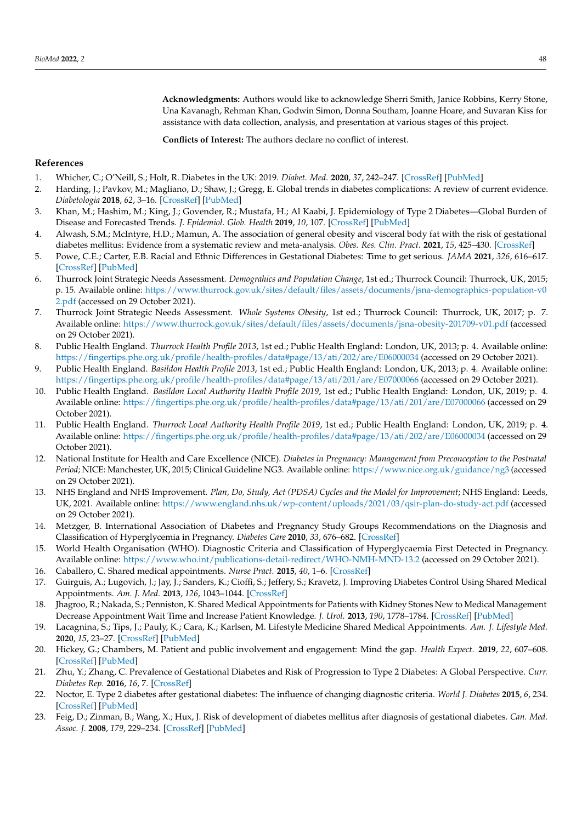**Acknowledgments:** Authors would like to acknowledge Sherri Smith, Janice Robbins, Kerry Stone, Una Kavanagh, Rehman Khan, Godwin Simon, Donna Southam, Joanne Hoare, and Suvaran Kiss for assistance with data collection, analysis, and presentation at various stages of this project.

**Conflicts of Interest:** The authors declare no conflict of interest.

### **References**

- <span id="page-11-0"></span>1. Whicher, C.; O'Neill, S.; Holt, R. Diabetes in the UK: 2019. *Diabet. Med.* **2020**, *37*, 242–247. [\[CrossRef\]](http://doi.org/10.1111/dme.14225) [\[PubMed\]](http://www.ncbi.nlm.nih.gov/pubmed/31901175)
- 2. Harding, J.; Pavkov, M.; Magliano, D.; Shaw, J.; Gregg, E. Global trends in diabetes complications: A review of current evidence. *Diabetologia* **2018**, *62*, 3–16. [\[CrossRef\]](http://doi.org/10.1007/s00125-018-4711-2) [\[PubMed\]](http://www.ncbi.nlm.nih.gov/pubmed/30171279)
- <span id="page-11-1"></span>3. Khan, M.; Hashim, M.; King, J.; Govender, R.; Mustafa, H.; Al Kaabi, J. Epidemiology of Type 2 Diabetes—Global Burden of Disease and Forecasted Trends. *J. Epidemiol. Glob. Health* **2019**, *10*, 107. [\[CrossRef\]](http://doi.org/10.2991/jegh.k.191028.001) [\[PubMed\]](http://www.ncbi.nlm.nih.gov/pubmed/32175717)
- <span id="page-11-2"></span>4. Alwash, S.M.; McIntyre, H.D.; Mamun, A. The association of general obesity and visceral body fat with the risk of gestational diabetes mellitus: Evidence from a systematic review and meta-analysis. *Obes. Res. Clin. Pract.* **2021**, *15*, 425–430. [\[CrossRef\]](http://doi.org/10.1016/j.orcp.2021.07.005)
- <span id="page-11-3"></span>5. Powe, C.E.; Carter, E.B. Racial and Ethnic Differences in Gestational Diabetes: Time to get serious. *JAMA* **2021**, *326*, 616–617. [\[CrossRef\]](http://doi.org/10.1001/jama.2021.7520) [\[PubMed\]](http://www.ncbi.nlm.nih.gov/pubmed/34402852)
- <span id="page-11-4"></span>6. Thurrock Joint Strategic Needs Assessment. *Demograhics and Population Change*, 1st ed.; Thurrock Council: Thurrock, UK, 2015; p. 15. Available online: [https://www.thurrock.gov.uk/sites/default/files/assets/documents/jsna-demographics-population-v0](https://www.thurrock.gov.uk/sites/default/files/assets/documents/jsna-demographics-population-v02.pdf) [2.pdf](https://www.thurrock.gov.uk/sites/default/files/assets/documents/jsna-demographics-population-v02.pdf) (accessed on 29 October 2021).
- <span id="page-11-5"></span>7. Thurrock Joint Strategic Needs Assessment. *Whole Systems Obesity*, 1st ed.; Thurrock Council: Thurrock, UK, 2017; p. 7. Available online: <https://www.thurrock.gov.uk/sites/default/files/assets/documents/jsna-obesity-201709-v01.pdf> (accessed on 29 October 2021).
- <span id="page-11-6"></span>8. Public Health England. *Thurrock Health Profile 2013*, 1st ed.; Public Health England: London, UK, 2013; p. 4. Available online: <https://fingertips.phe.org.uk/profile/health-profiles/data#page/13/ati/202/are/E06000034> (accessed on 29 October 2021).
- <span id="page-11-7"></span>9. Public Health England. *Basildon Health Profile 2013*, 1st ed.; Public Health England: London, UK, 2013; p. 4. Available online: <https://fingertips.phe.org.uk/profile/health-profiles/data#page/13/ati/201/are/E07000066> (accessed on 29 October 2021).
- <span id="page-11-8"></span>10. Public Health England. *Basildon Local Authority Health Profile 2019*, 1st ed.; Public Health England: London, UK, 2019; p. 4. Available online: <https://fingertips.phe.org.uk/profile/health-profiles/data#page/13/ati/201/are/E07000066> (accessed on 29 October 2021).
- <span id="page-11-9"></span>11. Public Health England. *Thurrock Local Authority Health Profile 2019*, 1st ed.; Public Health England: London, UK, 2019; p. 4. Available online: <https://fingertips.phe.org.uk/profile/health-profiles/data#page/13/ati/202/are/E06000034> (accessed on 29 October 2021).
- <span id="page-11-10"></span>12. National Institute for Health and Care Excellence (NICE). *Diabetes in Pregnancy: Management from Preconception to the Postnatal Period*; NICE: Manchester, UK, 2015; Clinical Guideline NG3. Available online: <https://www.nice.org.uk/guidance/ng3> (accessed on 29 October 2021).
- <span id="page-11-11"></span>13. NHS England and NHS Improvement. *Plan, Do, Study, Act (PDSA) Cycles and the Model for Improvement*; NHS England: Leeds, UK, 2021. Available online: <https://www.england.nhs.uk/wp-content/uploads/2021/03/qsir-plan-do-study-act.pdf> (accessed on 29 October 2021).
- <span id="page-11-12"></span>14. Metzger, B. International Association of Diabetes and Pregnancy Study Groups Recommendations on the Diagnosis and Classification of Hyperglycemia in Pregnancy. *Diabetes Care* **2010**, *33*, 676–682. [\[CrossRef\]](http://doi.org/10.2337/dc10-0719)
- <span id="page-11-13"></span>15. World Health Organisation (WHO). Diagnostic Criteria and Classification of Hyperglycaemia First Detected in Pregnancy. Available online: <https://www.who.int/publications-detail-redirect/WHO-NMH-MND-13.2> (accessed on 29 October 2021).
- <span id="page-11-14"></span>16. Caballero, C. Shared medical appointments. *Nurse Pract.* **2015**, *40*, 1–6. [\[CrossRef\]](http://doi.org/10.1097/01.NPR.0000470357.85590.46)
- 17. Guirguis, A.; Lugovich, J.; Jay, J.; Sanders, K.; Cioffi, S.; Jeffery, S.; Kravetz, J. Improving Diabetes Control Using Shared Medical Appointments. *Am. J. Med.* **2013**, *126*, 1043–1044. [\[CrossRef\]](http://doi.org/10.1016/j.amjmed.2013.06.019)
- 18. Jhagroo, R.; Nakada, S.; Penniston, K. Shared Medical Appointments for Patients with Kidney Stones New to Medical Management Decrease Appointment Wait Time and Increase Patient Knowledge. *J. Urol.* **2013**, *190*, 1778–1784. [\[CrossRef\]](http://doi.org/10.1016/j.juro.2013.05.037) [\[PubMed\]](http://www.ncbi.nlm.nih.gov/pubmed/23707453)
- <span id="page-11-15"></span>19. Lacagnina, S.; Tips, J.; Pauly, K.; Cara, K.; Karlsen, M. Lifestyle Medicine Shared Medical Appointments. *Am. J. Lifestyle Med.* **2020**, *15*, 23–27. [\[CrossRef\]](http://doi.org/10.1177/1559827620943819) [\[PubMed\]](http://www.ncbi.nlm.nih.gov/pubmed/33456418)
- <span id="page-11-16"></span>20. Hickey, G.; Chambers, M. Patient and public involvement and engagement: Mind the gap. *Health Expect.* **2019**, *22*, 607–608. [\[CrossRef\]](http://doi.org/10.1111/hex.12962) [\[PubMed\]](http://www.ncbi.nlm.nih.gov/pubmed/31508884)
- <span id="page-11-17"></span>21. Zhu, Y.; Zhang, C. Prevalence of Gestational Diabetes and Risk of Progression to Type 2 Diabetes: A Global Perspective. *Curr. Diabetes Rep.* **2016**, *16*, 7. [\[CrossRef\]](http://doi.org/10.1007/s11892-015-0699-x)
- 22. Noctor, E. Type 2 diabetes after gestational diabetes: The influence of changing diagnostic criteria. *World J. Diabetes* **2015**, *6*, 234. [\[CrossRef\]](http://doi.org/10.4239/wjd.v6.i2.234) [\[PubMed\]](http://www.ncbi.nlm.nih.gov/pubmed/25789105)
- <span id="page-11-18"></span>23. Feig, D.; Zinman, B.; Wang, X.; Hux, J. Risk of development of diabetes mellitus after diagnosis of gestational diabetes. *Can. Med. Assoc. J.* **2008**, *179*, 229–234. [\[CrossRef\]](http://doi.org/10.1503/cmaj.080012) [\[PubMed\]](http://www.ncbi.nlm.nih.gov/pubmed/18663202)